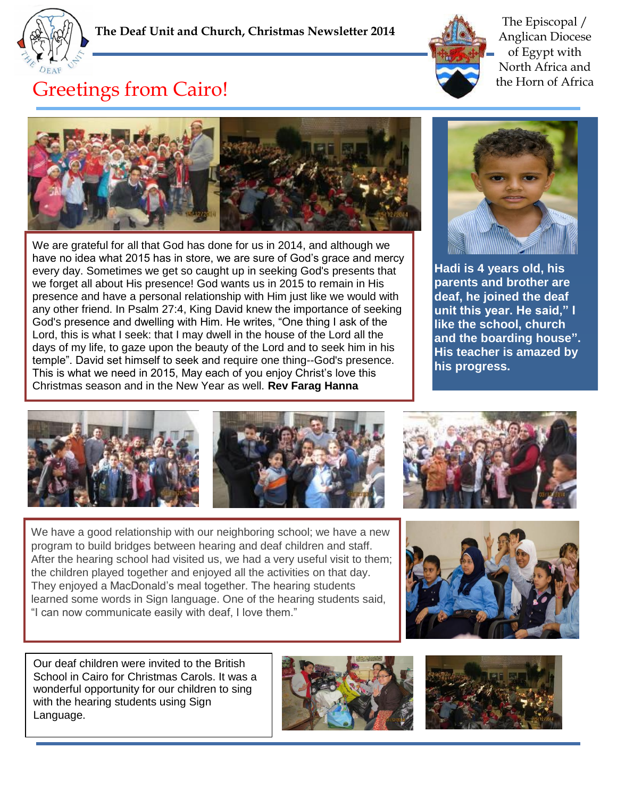



The Episcopal / Anglican Diocese of Egypt with North Africa and the Horn of Africa

## Greetings from Cairo!



We are grateful for all that God has done for us in 2014, and although we have no idea what 2015 has in store, we are sure of God's grace and mercy every day. Sometimes we get so caught up in seeking God's presents that we forget all about His presence! God wants us in 2015 to remain in His presence and have a personal relationship with Him just like we would with any other friend. In Psalm 27:4, King David knew the importance of seeking God's presence and dwelling with Him. He writes, "One thing I ask of the Lord, this is what I seek: that I may dwell in the house of the Lord all the days of my life, to gaze upon the beauty of the Lord and to seek him in his temple". David set himself to seek and require one thing--God's presence. This is what we need in 2015, May each of you enjoy Christ's love this Christmas season and in the New Year as well. **Rev Farag Hanna**



**Hadi is 4 years old, his parents and brother are deaf, he joined the deaf unit this year. He said," I like the school, church and the boarding house". His teacher is amazed by his progress.** 





We have a good relationship with our neighboring school; we have a new program to build bridges between hearing and deaf children and staff. After the hearing school had visited us, we had a very useful visit to them; the children played together and enjoyed all the activities on that day. They enjoyed a MacDonald's meal together. The hearing students learned some words in Sign language. One of the hearing students said, "I can now communicate easily with deaf, I love them."



Our deaf children were invited to the British School in Cairo for Christmas Carols. It was a wonderful opportunity for our children to sing with the hearing students using Sign Language.